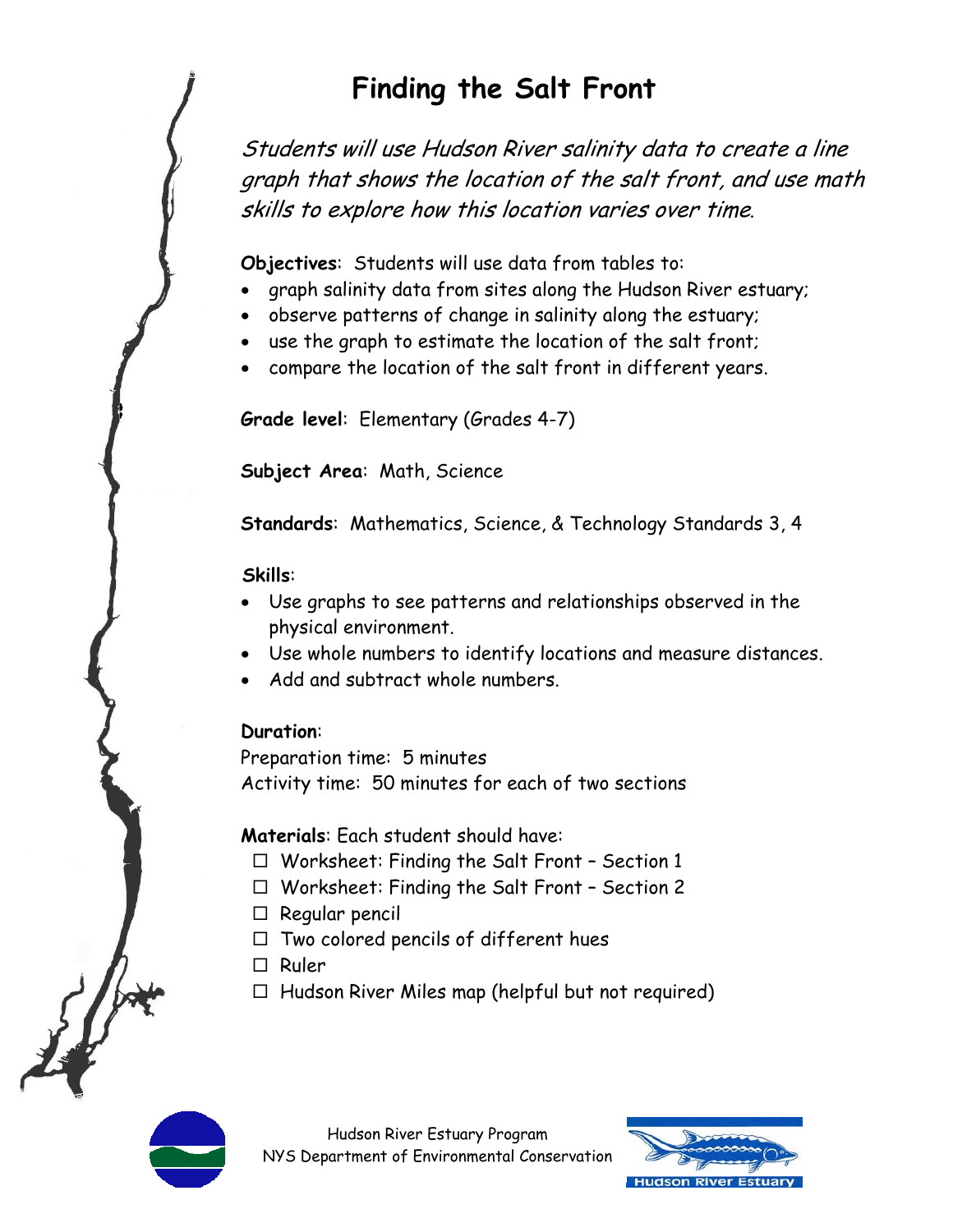# **Finding the Salt Front**

Students will use Hudson River salinity data to create a line graph that shows the location of the salt front, and use math skills to explore how this location varies over time.

**Objectives**: Students will use data from tables to:

- graph salinity data from sites along the Hudson River estuary;
- observe patterns of change in salinity along the estuary;
- use the graph to estimate the location of the salt front;
- compare the location of the salt front in different years.

**Grade level**: Elementary (Grades 4-7)

**Subject Area**: Math, Science

**Standards**: Mathematics, Science, & Technology Standards 3, 4

#### **Skills**:

- Use graphs to see patterns and relationships observed in the physical environment.
- Use whole numbers to identify locations and measure distances.
- Add and subtract whole numbers.

#### **Duration**:

Preparation time: 5 minutes Activity time: 50 minutes for each of two sections

**Materials**: Each student should have:

- $\Box$  Worksheet: Finding the Salt Front Section 1
- Worksheet: Finding the Salt Front Section 2
- $\Box$  Regular pencil
- $\Box$  Two colored pencils of different hues
- □ Ruler
- $\Box$  Hudson River Miles map (helpful but not required)



Hudson River Estuary Program NYS Department of Environmental Conservation

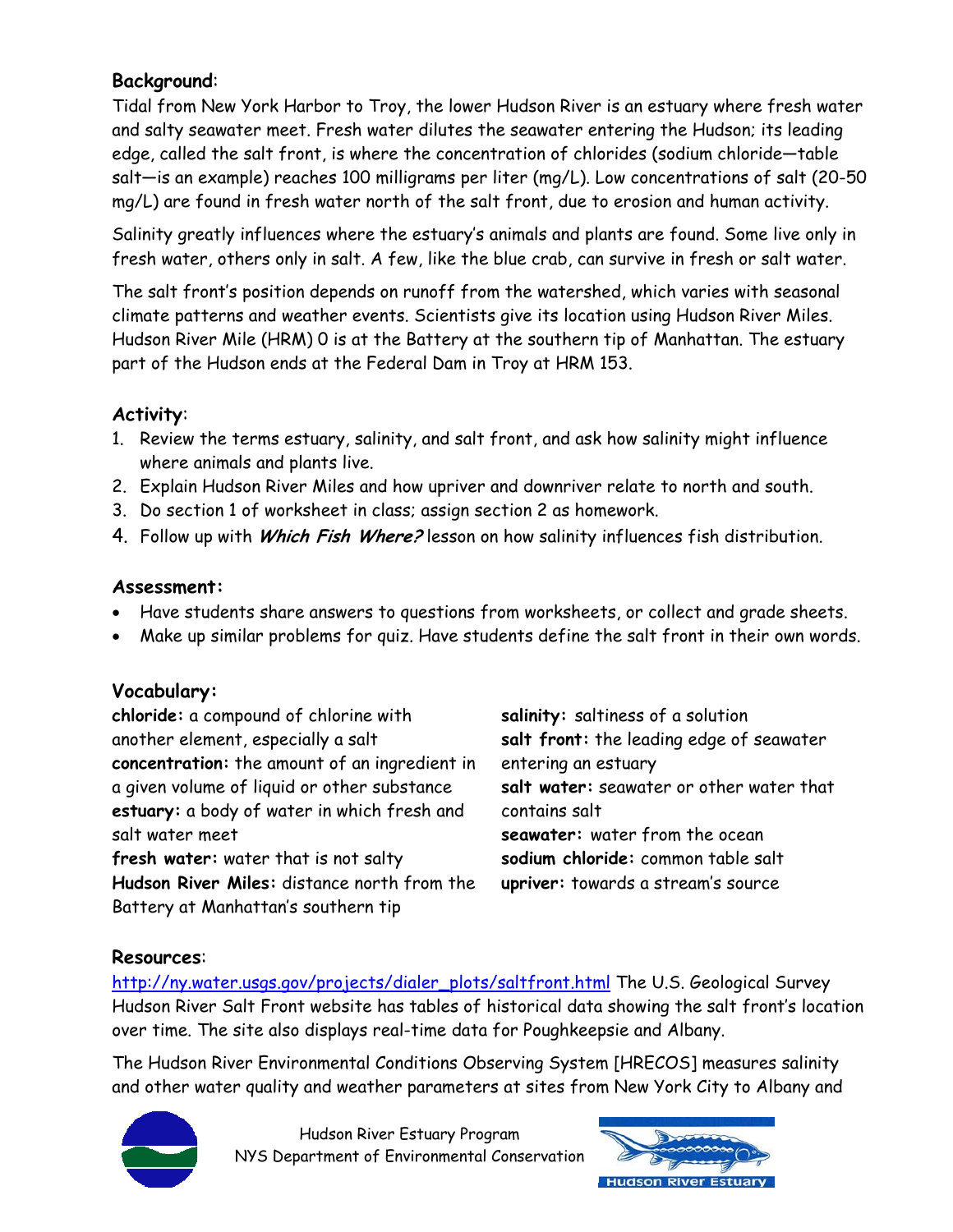### **Background**:

Tidal from New York Harbor to Troy, the lower Hudson River is an estuary where fresh water and salty seawater meet. Fresh water dilutes the seawater entering the Hudson; its leading edge, called the salt front, is where the concentration of chlorides (sodium chloride-table salt—is an example) reaches 100 milligrams per liter (mg/L). Low concentrations of salt (20-50 mg/L) are found in fresh water north of the salt front, due to erosion and human activity.

Salinity greatly influences where the estuary's animals and plants are found. Some live only in fresh water, others only in salt. A few, like the blue crab, can survive in fresh or salt water.

The salt front's position depends on runoff from the watershed, which varies with seasonal climate patterns and weather events. Scientists give its location using Hudson River Miles. Hudson River Mile (HRM) 0 is at the Battery at the southern tip of Manhattan. The estuary part of the Hudson ends at the Federal Dam in Troy at HRM 153.

### **Activity**:

- 1. Review the terms estuary, salinity, and salt front, and ask how salinity might influence where animals and plants live.
- 2. Explain Hudson River Miles and how upriver and downriver relate to north and south.
- 3. Do section 1 of worksheet in class; assign section 2 as homework.
- 4. Follow up with **Which Fish Where?** lesson on how salinity influences fish distribution.

### **Assessment:**

- Have students share answers to questions from worksheets, or collect and grade sheets.
- Make up similar problems for quiz. Have students define the salt front in their own words.

## **Vocabulary:**

**chloride:** a compound of chlorine with another element, especially a salt **concentration:** the amount of an ingredient in a given volume of liquid or other substance **estuary:** a body of water in which fresh and salt water meet **fresh water:** water that is not salty **Hudson River Miles:** distance north from the Battery at Manhattan's southern tip

**salinity:** saltiness of a solution **salt front:** the leading edge of seawater entering an estuary **salt water:** seawater or other water that contains salt **seawater:** water from the ocean **sodium chloride:** common table salt **upriver:** towards a stream's source

#### **Resources**:

http://ny.water.usgs.gov/projects/dialer\_plots/saltfront.html The U.S. Geological Survey Hudson River Salt Front website has tables of historical data showing the salt front's location over time. The site also displays real-time data for Poughkeepsie and Albany.

The Hudson River Environmental Conditions Observing System [HRECOS] measures salinity and other water quality and weather parameters at sites from New York City to Albany and



Hudson River Estuary Program NYS Department of Environmental Conservation

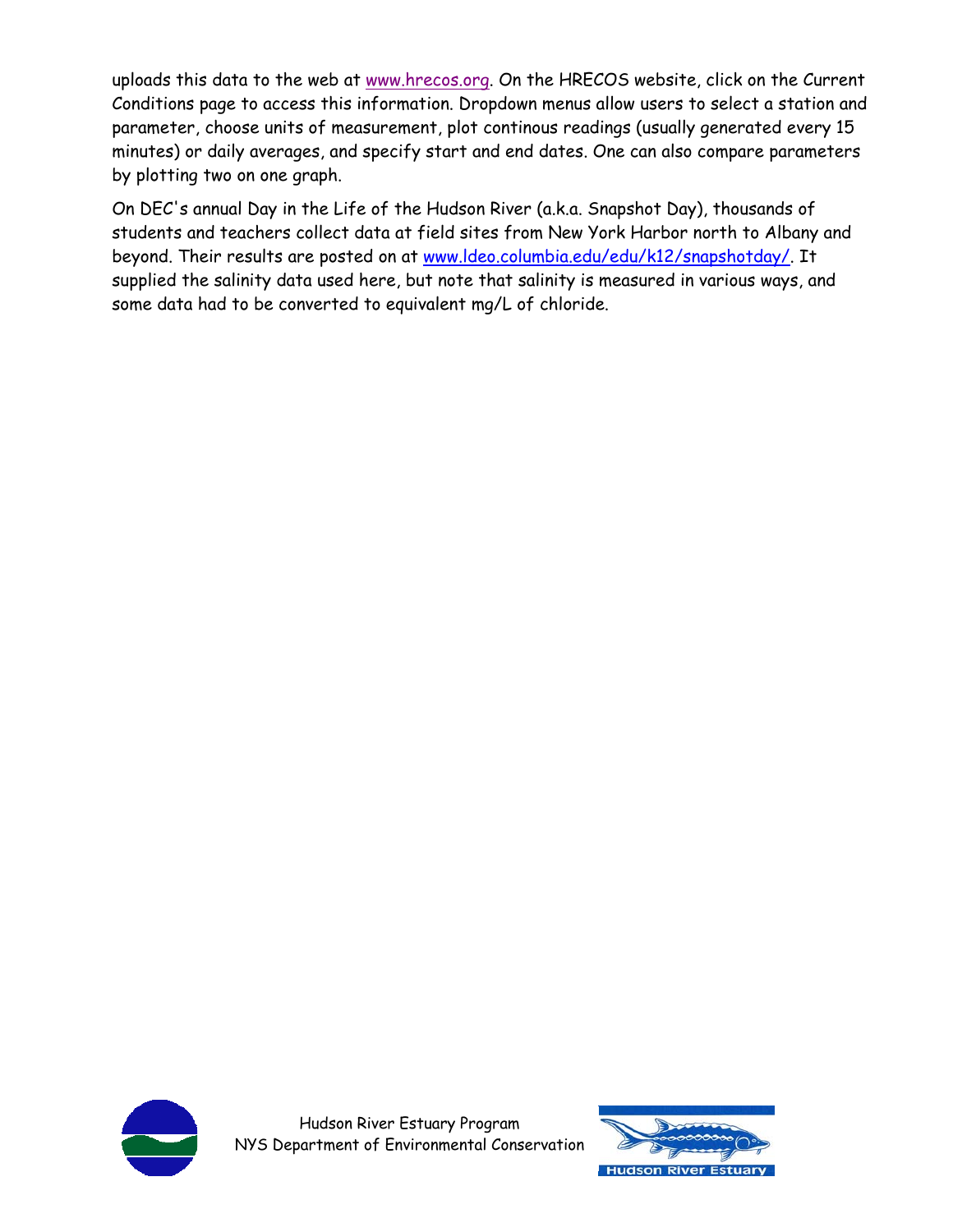uploads this data to the web at www.hrecos.org. On the HRECOS website, click on the Current Conditions page to access this information. Dropdown menus allow users to select a station and parameter, choose units of measurement, plot continous readings (usually generated every 15 minutes) or daily averages, and specify start and end dates. One can also compare parameters by plotting two on one graph.

On DEC's annual Day in the Life of the Hudson River (a.k.a. Snapshot Day), thousands of students and teachers collect data at field sites from New York Harbor north to Albany and beyond. Their results are posted on at www.ldeo.columbia.edu/edu/k12/snapshotday/. It supplied the salinity data used here, but note that salinity is measured in various ways, and some data had to be converted to equivalent mg/L of chloride.



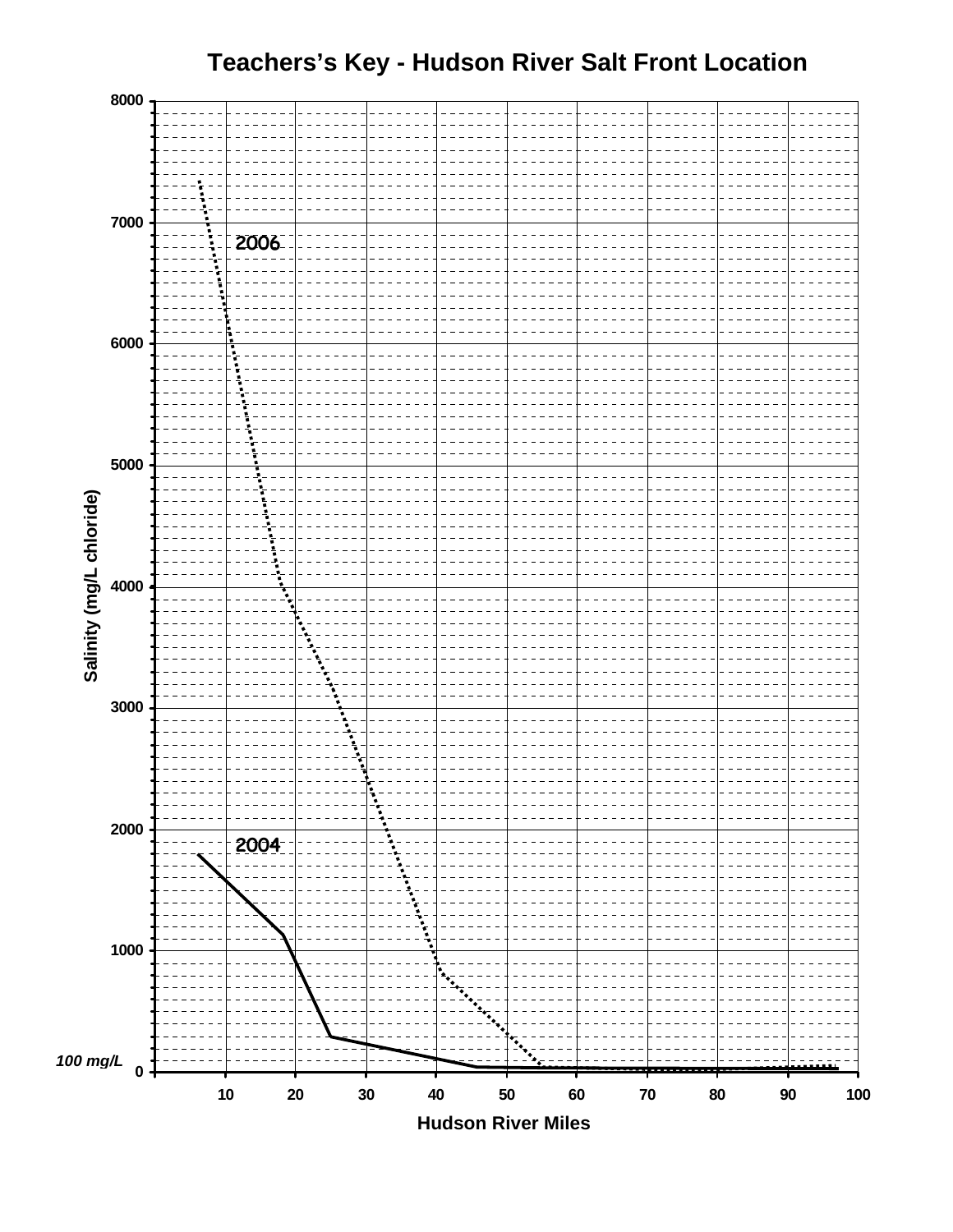# **Teachers's Key - Hudson River Salt Front Location**

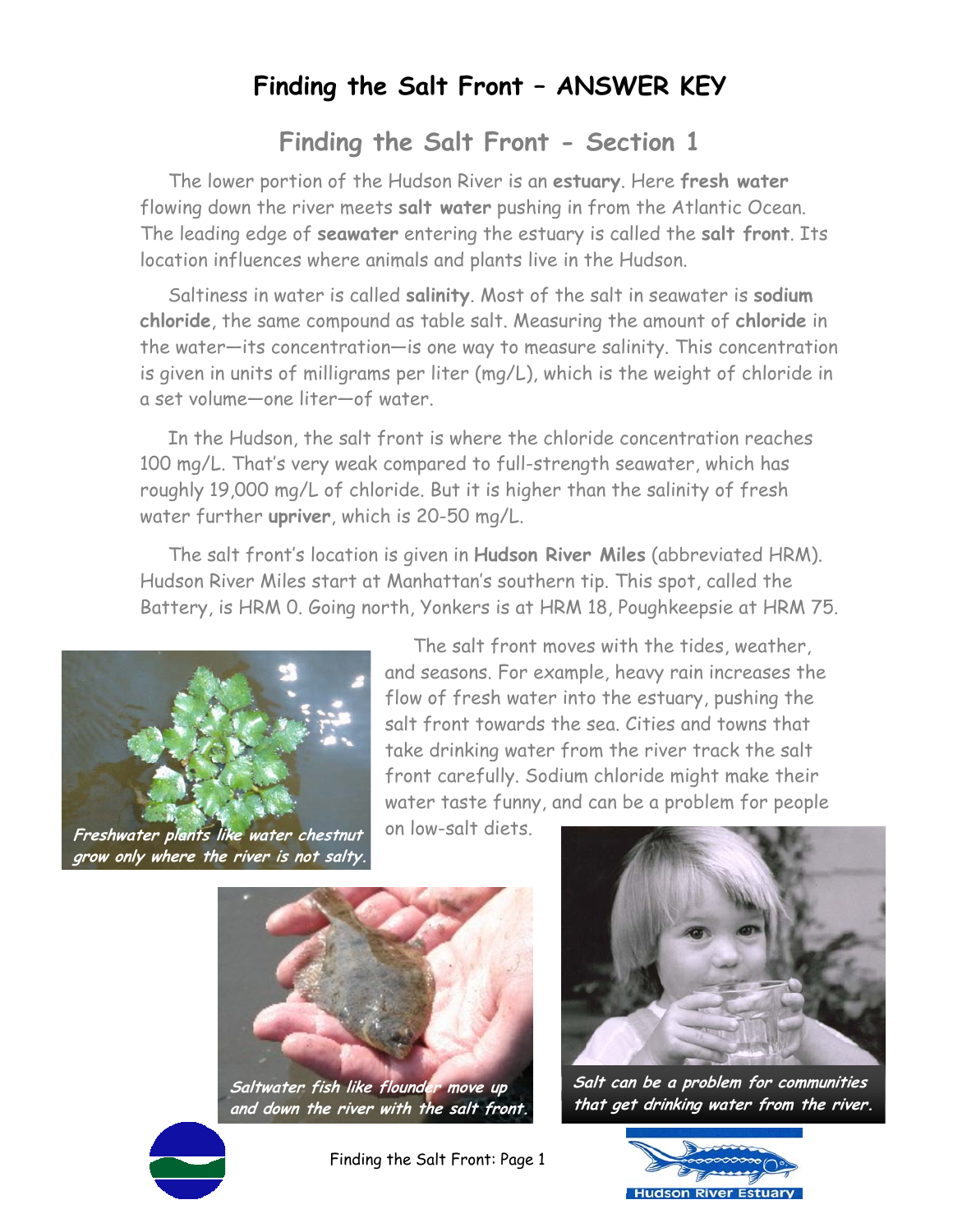# **Finding the Salt Front – ANSWER KEY**

## **Finding the Salt Front - Section 1**

The lower portion of the Hudson River is an **estuary**. Here **fresh water** flowing down the river meets **salt water** pushing in from the Atlantic Ocean. The leading edge of **seawater** entering the estuary is called the **salt front**. Its location influences where animals and plants live in the Hudson.

Saltiness in water is called **salinity**. Most of the salt in seawater is **sodium chloride**, the same compound as table salt. Measuring the amount of **chloride** in the water—its concentration—is one way to measure salinity. This concentration is given in units of milligrams per liter (mg/L), which is the weight of chloride in a set volume—one liter—of water.

In the Hudson, the salt front is where the chloride concentration reaches 100 mg/L. That's very weak compared to full-strength seawater, which has roughly 19,000 mg/L of chloride. But it is higher than the salinity of fresh water further **upriver**, which is 20-50 mg/L.

The salt front's location is given in **Hudson River Miles** (abbreviated HRM). Hudson River Miles start at Manhattan's southern tip. This spot, called the Battery, is HRM 0. Going north, Yonkers is at HRM 18, Poughkeepsie at HRM 75.



**grow only where the river is not salty.**

The salt front moves with the tides, weather, and seasons. For example, heavy rain increases the flow of fresh water into the estuary, pushing the salt front towards the sea. Cities and towns that take drinking water from the river track the salt front carefully. Sodium chloride might make their water taste funny, and can be a problem for people

on low-salt diets.



**Saltwater fish like flounder move up and down the river with the salt front.**



Finding the Salt Front: Page 1



**Salt can be a problem for communities that get drinking water from the river.**

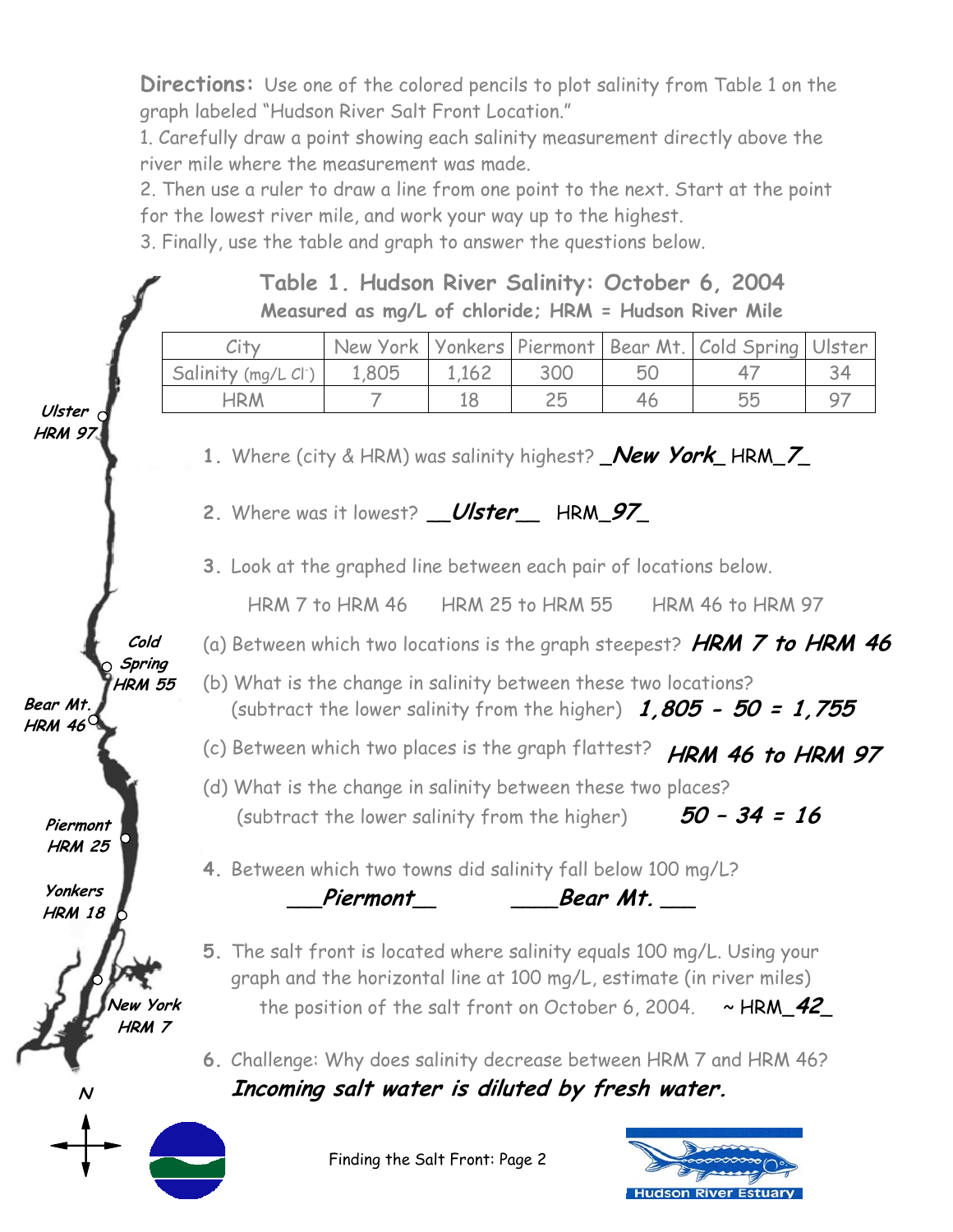**Directions:** Use one of the colored pencils to plot salinity from Table 1 on the graph labeled "Hudson River Salt Front Location."

1. Carefully draw a point showing each salinity measurement directly above the river mile where the measurement was made.

2. Then use a ruler to draw a line from one point to the next. Start at the point for the lowest river mile, and work your way up to the highest.

3. Finally, use the table and graph to answer the questions below.

 **Table 1. Hudson River Salinity: October 6, 2004 Measured as mg/L of chloride; HRM = Hudson River Mile** 

|                                  |       |       |     | New York   Yonkers   Piermont   Bear Mt.   Cold Spring   Ulster |  |
|----------------------------------|-------|-------|-----|-----------------------------------------------------------------|--|
| Salinity (mg/L Cl <sup>-</sup> ) | 1,805 | 1,162 | 30C |                                                                 |  |
| HRM                              |       |       |     |                                                                 |  |

**Ulster HRM 97**

**1.** Where (city & HRM) was salinity highest? \_**New York**\_ HRM\_**7**\_

**2.** Where was it lowest? \_\_**Ulster**\_\_ HRM\_**97**\_

**3.** Look at the graphed line between each pair of locations below.

HRM 7 to HRM 46 HRM 25 to HRM 55 HRM 46 to HRM 97

(a) Between which two locations is the graph steepest? **HRM 7 to HRM 46** 

- **1,805 - 50 = 1,755** (subtract the lower salinity from the higher) (b) What is the change in salinity between these two locations?
- **HRM 46 to HRM 97** (c) Between which two places is the graph flattest?
- (d) What is the change in salinity between these two places? (subtract the lower salinity from the higher) **50 – 34 = 16**

**Piermont HRM 25**

**Bear Mt. HRM 46**

**Cold Spring HRM 55**

**Yonkers HRM 18**

**N**

**New York HRM 7**

**4.** Between which two towns did salinity fall below 100 mg/L?

\_\_\_**Piermont**\_\_ \_\_\_\_**Bear Mt.** \_\_\_

- **5.** The salt front is located where salinity equals 100 mg/L. Using your graph and the horizontal line at 100 mg/L, estimate (in river miles) the position of the salt front on October 6, 2004. ~ HRM\_**42**\_
- **6.** Challenge: Why does salinity decrease between HRM 7 and HRM 46? **Incoming salt water is diluted by fresh water.**

Finding the Salt Front: Page 2